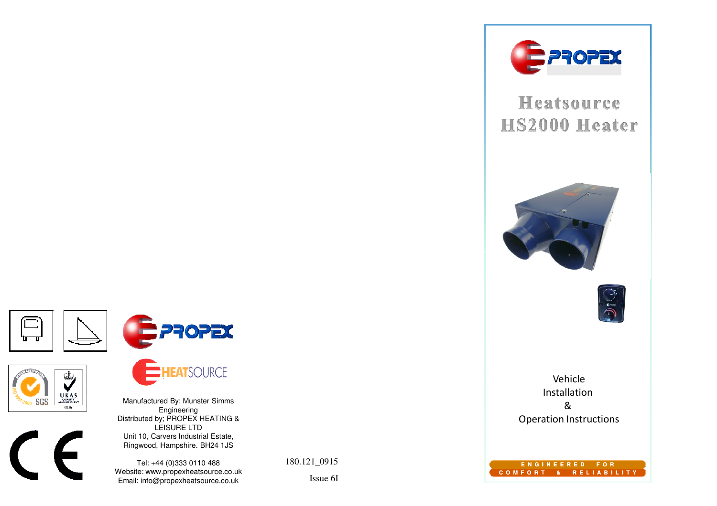

# Heatsource **HS2000 Heater**





Vehicle Installation & Operation Instructions

**E N G I N E E R E D F O RC O M F O R T & R E L I A B I L I T Y**









**EATSOURCE** 

Manufactured By: Munster Simms Engineering Distributed by; PROPEX HEATING & LEISURE LTD Unit 10, Carvers Industrial Estate,Ringwood, Hampshire. BH24 1JS

Tel: +44 (0)333 0110 488 Website: www.propexheatsource.co.ukEmail: info@propexheatsource.co.uk

180.121\_0915

Issue 6I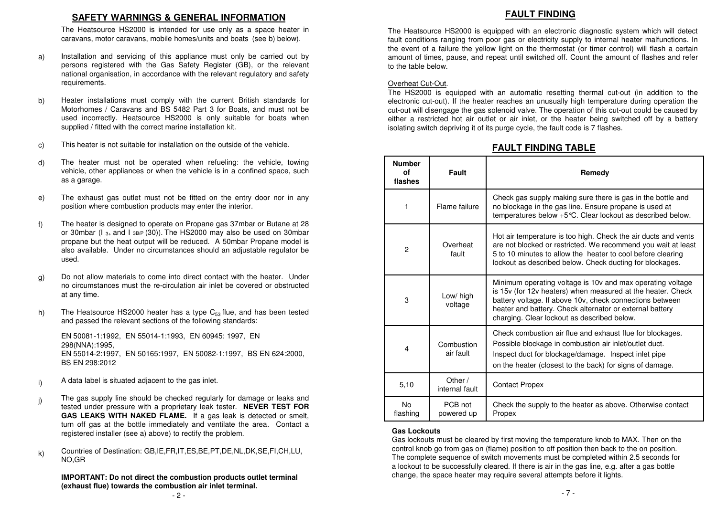#### **SAFETY WARNINGS & GENERAL INFORMATION**

 The Heatsource HS2000 is intended for use only as <sup>a</sup> space heater incaravans, motor caravans, mobile homes/units and boats (see b) below).

- Installation and servicing of this appliance must only be carried out by persons registered with the Gas Safety Register (GB), or the relevant national organisation, in accordance with the relevant regulatory and safetyrequirements.a)
- Heater installations must comply with the current British standards for Motorhomes / Caravans and BS 5482 Part 3 for Boats, and must not be used incorrectly. Heatsource HS2000 is only suitable for boats whensupplied / fitted with the correct marine installation kit. b)
- This heater is not suitable for installation on the outside of the vehicle. c)
- The heater must not be operated when refueling: the vehicle, towing vehicle, other appliances or when the vehicle is in <sup>a</sup> confined space, suchas <sup>a</sup> garage. d)
- The exhaust gas outlet must not be fitted on the entry door nor in anyposition where combustion products may enter the interior. e)
- The heater is designed to operate on Propane gas 37mbar or Butane at 28 or 30mbar (I 3+ and <sup>I</sup> 3B/P (30)). The HS2000 may also be used on 30mbar propane but the heat output will be reduced. A 50mbar Propane model is also available. Under no circumstances should an adjustable regulator be f)
- Do not allow materials to come into direct contact with the heater. Under no circumstances must the re-circulation air inlet be covered or obstructedat any time. g)
- The Heatsource HS2000 heater has a type  $C_{53}$  flue, and has been tested and passed the relevant sections of the following standards: h)

- A data label is situated adjacent to the gas inlet. i)
- The gas supply line should be checked regularly for damage or leaks and tested under pressure with <sup>a</sup> proprietary leak tester. **NEVER TEST FOR GAS LEAKS WITH NAKED FLAME.** If <sup>a</sup> gas leak is detected or smelt, turn off gas at the bottle immediately and ventilate the area. Contact <sup>a</sup>registered installer (see a) above) to rectify the problem. j)
- Countries of Destination: GB,IE,FR,IT,ES,BE,PT,DE,NL,DK,SE,FI,CH,LU, NO,GRk)

**IMPORTANT: Do not direct the combustion products outlet terminal (exhaust flue) towards the combustion air inlet terminal.**- 7 -

#### - 2 -

#### **FAULT FINDING**

The Heatsource HS2000 is equipped with an electronic diagnostic system which will detect fault conditions ranging from poor gas or electricity supply to internal heater malfunctions. In the event of <sup>a</sup> failure the yellow light on the thermostat (or timer control) will flash <sup>a</sup> certain amount of times, pause, and repeat until switched off. Count the amount of flashes and referto the table below.

#### Overheat Cut-Out.

The HS2000 is equipped with an automatic resetting thermal cut-out (in addition to the electronic cut-out). If the heater reaches an unusually high temperature during operation the cut-out will disengage the gas solenoid valve. The operation of this cut-out could be caused by either <sup>a</sup> restricted hot air outlet or air inlet, or the heater being switched off by <sup>a</sup> batteryisolating switch depriving it of its purge cycle, the fault code is 7 flashes.

#### **FAULT FINDING TABLE**

| The heater must not be operated when refueling: the vehicle, towing<br>vehicle, other appliances or when the vehicle is in a confined space, such<br>as a garage.                                                                                                                                                      | <b>Number</b><br>οf<br>flashes | Fault                       | Remedy                                                                                                                                                                                                                                                                                           |
|------------------------------------------------------------------------------------------------------------------------------------------------------------------------------------------------------------------------------------------------------------------------------------------------------------------------|--------------------------------|-----------------------------|--------------------------------------------------------------------------------------------------------------------------------------------------------------------------------------------------------------------------------------------------------------------------------------------------|
| The exhaust gas outlet must not be fitted on the entry door nor in any<br>position where combustion products may enter the interior.                                                                                                                                                                                   |                                | Flame failure               | Check gas supply making sure there is gas in the bottle and<br>no blockage in the gas line. Ensure propane is used at<br>temperatures below +5 °C. Clear lockout as described below.                                                                                                             |
| The heater is designed to operate on Propane gas 37mbar or Butane at 28<br>or 30mbar (I з+ and I зв/р (30)). The HS2000 may also be used on 30mbar<br>propane but the heat output will be reduced. A 50mbar Propane model is<br>also available. Under no circumstances should an adjustable regulator be<br>used.      | $\overline{2}$                 | Overheat<br>fault           | Hot air temperature is too high. Check the air ducts and vents<br>are not blocked or restricted. We recommend you wait at least<br>5 to 10 minutes to allow the heater to cool before clearing<br>lockout as described below. Check ducting for blockages.                                       |
| Do not allow materials to come into direct contact with the heater. Under<br>no circumstances must the re-circulation air inlet be covered or obstructed<br>at any time.<br>The Heatsource HS2000 heater has a type $C_{53}$ flue, and has been tested<br>and passed the relevant sections of the following standards: | 3                              | Low/ high<br>voltage        | Minimum operating voltage is 10v and max operating voltage<br>is 15v (for 12v heaters) when measured at the heater. Check<br>battery voltage. If above 10v, check connections between<br>heater and battery. Check alternator or external battery<br>charging. Clear lockout as described below. |
| EN 50081-1:1992, EN 55014-1:1993, EN 60945: 1997, EN<br>298(NNA):1995,<br>EN 55014-2:1997, EN 50165:1997, EN 50082-1:1997, BS EN 624:2000,<br>BS EN 298:2012                                                                                                                                                           | 4                              | Combustion<br>air fault     | Check combustion air flue and exhaust flue for blockages.<br>Possible blockage in combustion air inlet/outlet duct.<br>Inspect duct for blockage/damage. Inspect inlet pipe<br>on the heater (closest to the back) for signs of damage.                                                          |
| A data label is situated adjacent to the gas inlet.                                                                                                                                                                                                                                                                    | 5,10                           | Other $/$<br>internal fault | <b>Contact Propex</b>                                                                                                                                                                                                                                                                            |
| The gas supply line should be checked regularly for damage or leaks and<br>tested under pressure with a proprietary leak tester. NEVER TEST FOR<br>GAS LEAKS WITH NAKED FLAME. If a gas leak is detected or smelt,                                                                                                     | No.<br>flashing                | PCB not<br>powered up       | Check the supply to the heater as above. Otherwise contact<br>Propex                                                                                                                                                                                                                             |

#### **Gas Lockouts**

 Gas lockouts must be cleared by first moving the temperature knob to MAX. Then on the control knob go from gas on (flame) position to off position then back to the on position. The complete sequence of switch movements must be completed within 2.5 seconds for a lockout to be successfully cleared. If there is air in the gas line, e.g. after a gas bottle change, the space heater may require several attempts before it lights.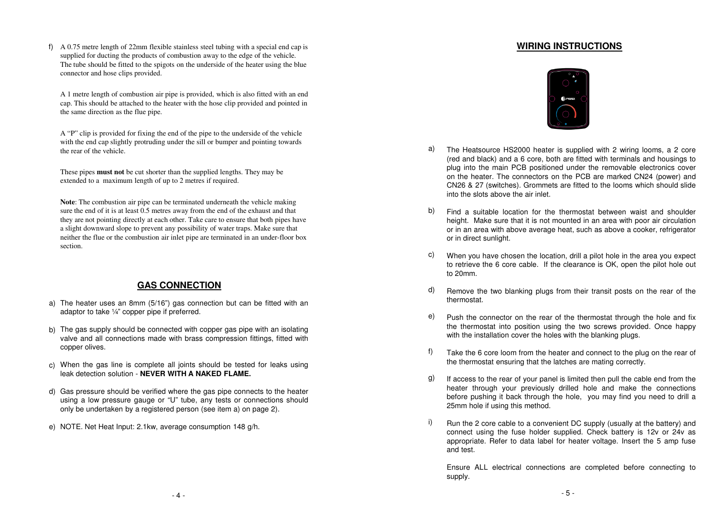f) A 0.75 metre length of 22mm flexible stainless steel tubing with a special end cap is **WIRING INSTRUCTIONS** supplied for ducting the products of combustion away to the edge of the vehicle. The tube should be fitted to the spigots on the underside of the heater using the blue connector and hose clips provided.

A 1 metre length of combustion air pipe is provided, which is also fitted with an end cap. This should be attached to the heater with the hose clip provided and pointed in the same direction as the flue pipe.

A "P" clip is provided for fixing the end of the pipe to the underside of the vehicle with the end cap slightly protruding under the sill or bumper and pointing towards the rear of the vehicle.

These pipes **must not** be cut shorter than the supplied lengths. They may be extended to a maximum length of up to 2 metres if required.

**Note**: The combustion air pipe can be terminated underneath the vehicle making sure the end of it is at least 0.5 metres away from the end of the exhaust and that they are not pointing directly at each other. Take care to ensure that both pipes have a slight downward slope to prevent any possibility of water traps. Make sure that neither the flue or the combustion air inlet pipe are terminated in an under-floor box section.

#### **GAS CONNECTION**

- a) The heater uses an 8mm (5/16") gas connection but can be fitted with an adaptor to take ¼" copper pipe if preferred.
- b) The gas supply should be connected with copper gas pipe with an isolating valve and all connections made with brass compression fittings, fitted withcopper olives.
- c) When the gas line is complete all joints should be tested for leaks using leak detection solution - **NEVER WITH <sup>A</sup> NAKED FLAME.**
- d) Gas pressure should be verified where the gas pipe connects to the heater using <sup>a</sup> low pressure gauge or "U" tube, any tests or connections shouldonly be undertaken by <sup>a</sup> registered person (see item a) on page 2).
- NOTE. Net Heat Input: 2.1kw, average consumption 148 g/h. e)



- The Heatsource HS2000 heater is supplied with <sup>2</sup> wiring looms, <sup>a</sup> <sup>2</sup> core (red and black) and <sup>a</sup> 6 core, both are fitted with terminals and housings to plug into the main PCB positioned under the removable electronics cover on the heater. The connectors on the PCB are marked CN24 (power) and CN26 & <sup>27</sup> (switches). Grommets are fitted to the looms which should slideinto the slots above the air inlet. a)
- Find <sup>a</sup> suitable location for the thermostat between waist and shoulder height. Make sure that it is not mounted in an area with poor air circulation or in an area with above average heat, such as above <sup>a</sup> cooker, refrigeratoror in direct sunlight. b)
- When you have chosen the location, drill <sup>a</sup> pilot hole in the area you expect c)to retrieve the 6 core cable. If the clearance is OK, open the pilot hole out to 20mm.
- Remove the two blanking plugs from their transit posts on the rear of thethermostat.d)
- Push the connector on the rear of the thermostat through the hole and fix the thermostat into position using the two screws provided. Once happywith the installation cover the holes with the blanking plugs. e)
- Take the 6 core loom from the heater and connect to the plug on the rear of the thermostat ensuring that the latches are mating correctly. f)
- If access to the rear of your panel is limited then pull the cable end from the heater through your previously drilled hole and make the connections before pushing it back through the hole, you may find you need to drill <sup>a</sup> 25mm hole if using this method. g)
- Run the <sup>2</sup> core cable to <sup>a</sup> convenient DC supply (usually at the battery) and connect using the fuse holder supplied. Check battery is 12v or 24v as appropriate. Refer to data label for heater voltage. Insert the 5 amp fuseand test. i)

Ensure ALL electrical connections are completed before connecting tosupply.